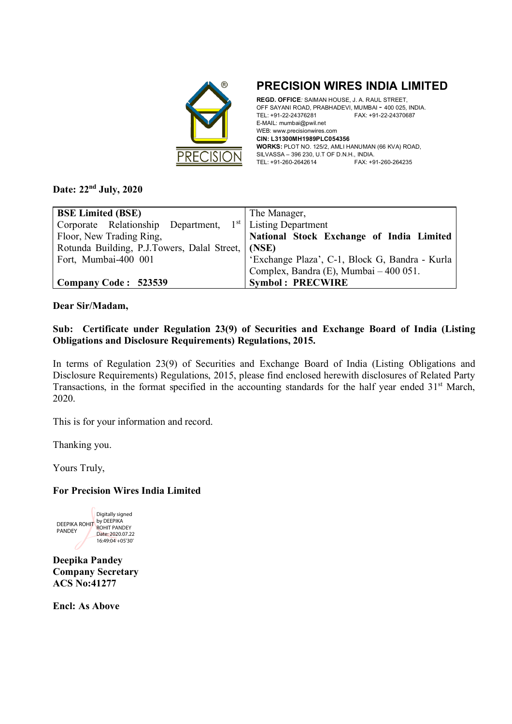

**PRECISION WIRES INDIA LIMITED** 

**REGD. OFFICE***:* SAIMAN HOUSE, J. A. RAUL STREET, OFF SAYANI ROAD, PRABHADEVI, MUMBAI - 400 025, INDIA. TEL: +91-22-24376281 FAX: +91-22-24370687 E-MAIL: mumbai@pwil.net WEB: www.precisionwires.com **CIN: L31300MH1989PLC054356 WORKS:** PLOT NO. 125/2, AMLI HANUMAN (66 KVA) ROAD, SILVASSA – 396 230, U.T OF D.N.H., INDIA. TEL: +91-260-2642614 FAX: +91-260-264235

## **Date: 22nd July, 2020**

| <b>BSE Limited (BSE)</b>                                              | The Manager,                                   |  |  |
|-----------------------------------------------------------------------|------------------------------------------------|--|--|
| Corporate Relationship Department, 1 <sup>st</sup> Listing Department |                                                |  |  |
| Floor, New Trading Ring,                                              | National Stock Exchange of India Limited       |  |  |
| Rotunda Building, P.J.Towers, Dalal Street,   (NSE)                   |                                                |  |  |
| Fort, Mumbai-400 001                                                  | 'Exchange Plaza', C-1, Block G, Bandra - Kurla |  |  |
|                                                                       | Complex, Bandra (E), Mumbai - 400 051.         |  |  |
| Company Code: 523539                                                  | <b>Symbol: PRECWIRE</b>                        |  |  |

**Dear Sir/Madam,** 

## **Sub: Certificate under Regulation 23(9) of Securities and Exchange Board of India (Listing Obligations and Disclosure Requirements) Regulations, 2015.**

In terms of Regulation 23(9) of Securities and Exchange Board of India (Listing Obligations and Disclosure Requirements) Regulations, 2015, please find enclosed herewith disclosures of Related Party Transactions, in the format specified in the accounting standards for the half year ended 31<sup>st</sup> March, 2020.

This is for your information and record.

Thanking you.

Yours Truly,

## **For Precision Wires India Limited**



**Deepika Pandey Company Secretary ACS No:41277** 

**Encl: As Above**